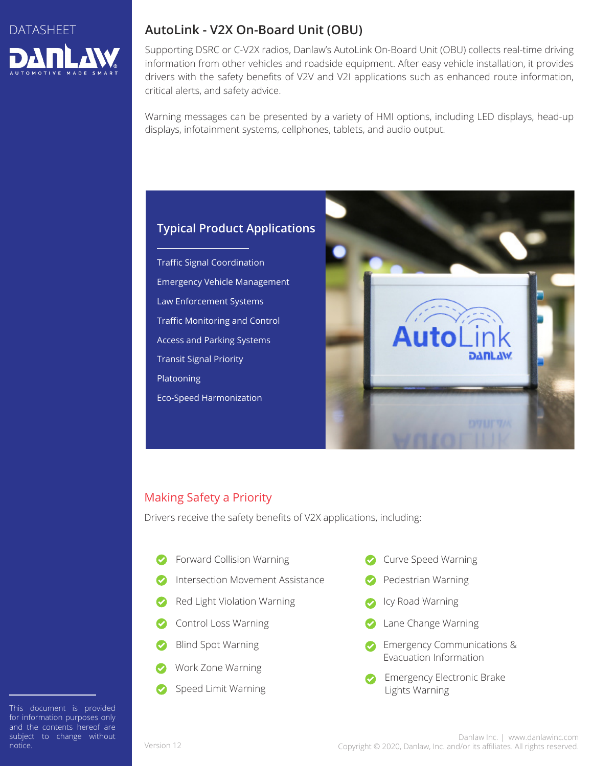

# **AutoLink - V2X On-Board Unit (OBU)**

Supporting DSRC or C-V2X radios, Danlaw's AutoLink On-Board Unit (OBU) collects real-time driving information from other vehicles and roadside equipment. After easy vehicle installation, it provides drivers with the safety benefits of V2V and V2I applications such as enhanced route information, critical alerts, and safety advice.

Warning messages can be presented by a variety of HMI options, including LED displays, head-up displays, infotainment systems, cellphones, tablets, and audio output.

## **Typical Product Applications**

Traffic Signal Coordination Emergency Vehicle Management Law Enforcement Systems Traffic Monitoring and Control Access and Parking Systems Transit Signal Priority Platooning Eco-Speed Harmonization



### Making Safety a Priority

Drivers receive the safety benefits of V2X applications, including:

- Forward Collision Warning
- Intersection Movement Assistance
- Red Light Violation Warning
- Control Loss Warning
- Blind Spot Warning
- Work Zone Warning
- Speed Limit Warning
- Curve Speed Warning
- Pedestrian Warning
- Icy Road Warning
- Lane Change Warning
- Emergency Communications & Evacuation Information
- Emergency Electronic Brake Lights Warning

This document is provided This document is provided for information purposes only for information purposes only and the contents hereof are and the contents hereof are subject to change without notice. notice.